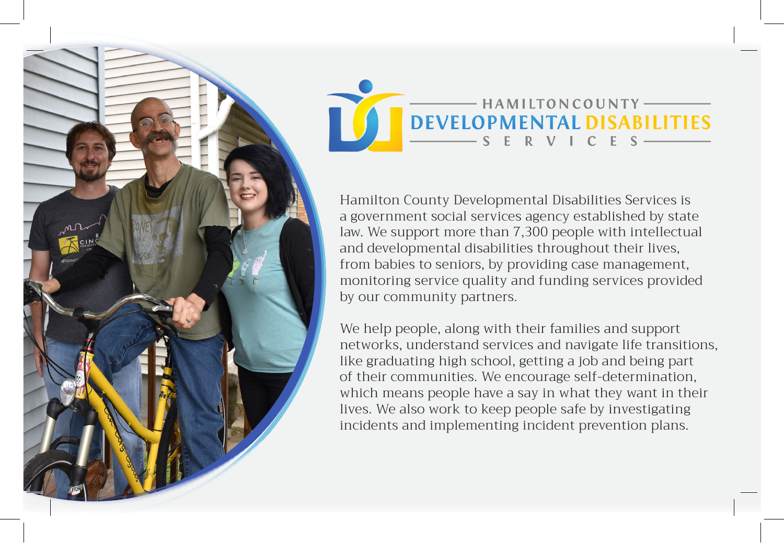

## - HAMILTON COUNTY DEVELOPMENTAL DISABILITIES ERVICE

Hamilton County Developmental Disabilities Services is a government social services agency established by state law. We support more than 7,300 people with intellectual and developmental disabilities throughout their lives, from babies to seniors, by providing case management, monitoring service quality and funding services provided by our community partners.

We help people, along with their families and support networks, understand services and navigate life transitions, like graduating high school, getting a job and being part of their communities. We encourage self-determination, which means people have a say in what they want in their lives. We also work to keep people safe by investigating incidents and implementing incident prevention plans.